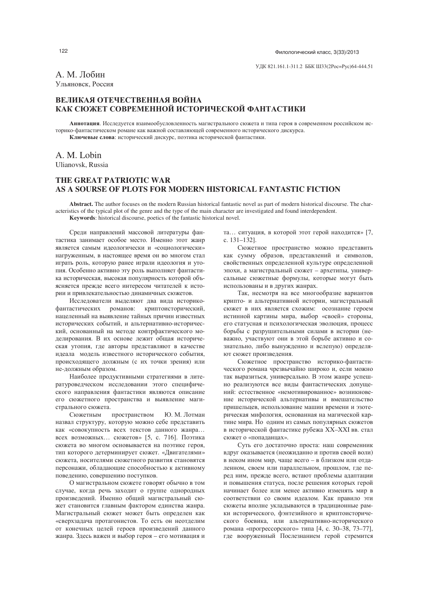$\Phi$ и по последните се последните се последните се последните се последните се последните се последните се последните се по лологический класс, 3(33)/2013

А. М. Лобин Ульяновск. Россия

## ВЕЛИКАЯ ОТЕЧЕСТВЕННАЯ ВОЙНА КАК СЮЖЕТ СОВРЕМЕННОЙ ИСТОРИЧЕСКОЙ ФАНТАСТИКИ

Аннотация. Исследуется взаимообусловленность магистрального сюжета и типа героя в современном российском историко-фантастическом романе как важной составляющей современного исторического дискурса. Ключевые слова: исторический дискурс, поэтика исторической фантастики.

A. M. Lobin

Ulianovsk, Russia

# **THE GREAT PATRIOTIC WAR AS A SOURSE OF PLOTS FOR MODERN HISTORICAL FANTASTIC FICTION**

**Abstract.** The author focuses on the modern Russian historical fantastic novel as part of modern historical discourse. The characteristics of the typical plot of the genre and the type of the main character are investigated and found interdependent. **Keywords**: historical discourse, poetics of the fantastic historical novel.

Среди направлений массовой литературы фантастика занимает особое место. Именно этот жанр является самым идеологически и «социологически» нагруженным, в настоящее время он во многом стал играть роль, которую ранее играли идеология и утопия. Особенно активно эту роль выполняет фантастика историческая, высокая популярность которой объясняется прежде всего интересом читателей к истории и привлекательностью динамичных сюжетов.

Исследователи выделяют два вида историкофантастических романов: криптоисторический, нацеленный на выявление тайных причин известных исторических событий, и альтернативно-исторический, основанный на методе контрфактического моделирования. В их основе лежит общая историческая утопия, где авторы представляют в качестве идеала модель известного исторического события, происходящего должным (с их точки зрения) или не-должным образом.

Наиболее продуктивными стратегиями в литературоведческом исследовании этого специфического направления фантастики являются описание его сюжетного пространства и выявление магистрального сюжета.

Сюжетны пространством Ю. М. Лотман назвал структуру, которую можно себе представить как «совокупность всех текстов данного жанра... всех возможных... сюжетов» [5, с. 716]. Поэтика сюжета во многом основывается на поэтике героя, тип которого детерминирует сюжет. «Двигателями» сюжета, носителями сюжетного развития становятся персонажи, обладающие способностью к активному поведению, совершению поступков.

О магистральном сюжете говорят обычно в том случае, когда речь заходит о группе однородных произведений. Именно общий магистральный сюжет становится главным фактором единства жанра. Магистральный сюжет может быть определен как «сверхзадача протагонистов. То есть он неотделим от конечных целей героев произведений данного жанра. Здесь важен и выбор героя – его мотивация и

та... ситуация, в которой этот герой находится» [7,  $c$  131–1321

Сюжетное пространство можно представить как сумму образов, представлений и символов, свойственных определенной культуре определенной эпохи, а магистральный сюжет - архетипы, универсальные сюжетные формулы, которые могут быть использованы и в других жанрах.

Так, несмотря на все многообразие вариантов крипто- и альтернативной истории, магистральный сюжет в них является схожим: осознание героем истинной картины мира, выбор «своей» стороны, его статусная и психологическая эволюция, процесс борьбы с разрушительными силами в истории (неважно, участвуют они в этой борьбе активно и сознательно, либо вынужденно и вслепую) определяют сюжет произведения.

Сюжетное пространство историко-фантастического романа чрезвычайно широко и, если можно так выразиться, универсально. В этом жанре успешно реализуются все виды фантастических допущений: естественное «немотивированное» возникновение исторической альтернативы и вмешательство пришельцев, использование машин времени и эзотерическая мифология, основанная на магической картине мира. Но одним из самых популярных сюжетов в исторической фантастике рубежа XX-XXI вв. стал сюжет о «попаданцах».

Суть его достаточно проста: наш современник вдруг оказывается (неожиданно и против своей воли) в неком ином мир, чаще всего - в близком или отдаленном, своем или параллельном, прошлом, где перед ним, прежде всего, встают проблемы адаптации и повышения статуса, после решения которых герой начинает более или менее активно изменять мир в соответствии со своим идеалом. Как правило эти сюжеты вполне укладываются в традиционные рамки исторического, фэнтезийного и криптоисторического боевика, или альтернативно-исторического романа «прогрессорского» типа [4, с. 30–38, 73–77], где вооруженный Послезнанием герой стремится

122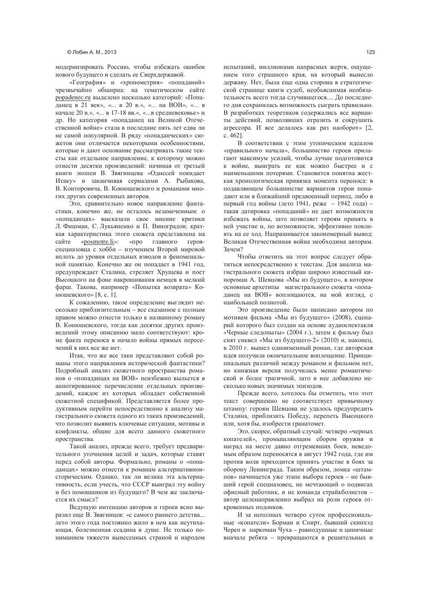модернизировать Россию, чтобы избежать ошибок нового будущего и сделать ее Сверхдержавой.

«География» и «хронометрия» «попаданий» чрезвычайно обширна: на тематическом сайте popadenec.ru выделено несколько категорий: «Попаданец в 21 век», «... в 20 в.», «... на ВОВ», «... в начале 20 в.», «... в 17-18 вв.», «... в средневековье» и др. Но категория «попаданец на Великой Отечественной войне» стала в последние пять лет едва ли не самой популярной. В ряду «попаданческих» сюжетов они отличается некоторыми особенностями, которые и дают основание рассматривать такие тексты как отдельное направление, к которому можно отнести десятки произведений: начиная от третьей книги эпопеи В. Звягинцева «Одиссей покидает Итаку» и заканчивая сериалами А. Рыбакова, В. Конторовича, В. Конюшевского и романами многих других современных авторов.

Это, сравнительно новое направление фантастики, конечно же, не осталось незамеченным: о «попаданцах» высказали свое мнение критики Л. Фишман, С. Лукьяненко и П. Виноградов; краткая характеристика этого сюжета представлена на сайте «posmotre.li»: «про главного герояспецназовца с хобби - изучением Второй мировой вплоть до уровня отдельных взводов и феноменальной памятью. Конечно же он попадает в 1941 год, предупреждает Сталина, стреляет Хрушева и поет Высоцкого на фоне накрошивания немцев в мелкий фарш. Такова, например «Попытка возврата» Конюшевского» [8, с. 1].

К сожалению, такое определение выглядит несколько приблизительным - все сказанное с полным правом можно отнести только к названному роману В. Конюшевского, тогда как десятки других произвелений этому описанию мало соответствуют: кроме факта переноса в начало войны прямых пересечений в них все же нет.

Итак, что же все таки представляют собой романы этого направления исторической фантастики? Подробный анализ сюжетного пространства романов о «попаданцах на ВОВ» неизбежно выльется в аннотированное перечисление отдельных произведений, каждое из которых обладает собственной сюжетной спецификой. Представляется более продуктивным перейти непосредственно к анализу магистрального сюжета одного из таких произведений, что позволит выявить ключевые ситуации, мотивы и конфликты, общие для всего данного сюжетного пространства.

Такой анализ, прежде всего, требует предварительного уточнения целей и задач, которые ставят перед собой авторы. Формально, романы о «попаданцах» можно отнести к романам альтернативноисторическим. Однако, так ли велика эта альтернативность, если учесть, что СССР выиграл эту войну и без помощников из будущего? В чем же заключается их смысл?

Ведущую интенцию авторов и героев ясно выразил еще В. Звягинцев: «с самого раннего детства... лето этого года постоянно жило в нем как неутихающая, болезненная ссадина в душе. Не только пониманием тяжести вынесенных страной и народом испытаний, миллионами напрасных жертв, ощущением того страшного края, на который вынесло державу. Нет, была еще одна сторона в стратегической странице книги судеб, необъяснимая необязательность всего тогда случившегося.... До последнего дня сохранилась возможность сыграть правильно. В разработках теоретиков содержались все варианты действий, позволявших отразить и сокрушить агрессора. И все делалось как раз наоборот» [2, c. 462].

В соответствии с этим утопическим идеалом «правильного начала», большинство героев прилагают максимум усилий, чтобы лучше подготовится к войне, выиграть ее как можно быстрее и с наименьшими потерями. Становится понятна жесткая хронологическая привязка момента переноса: в подавляющем большинстве вариантов герои попадают или в ближайший предвоенный период, либо в первый год войны (лето 1941, реже - 1942 года) такая датировка «попаданий» не дает возможности избежать войны, зато позволяет героям принять в ней участие и, по возможности, эффективно повлиять на ее ход. Напрашивается закономерный вывод: Великая Отечественная война необходима авторам. Зачем?

Чтобы ответить на этот вопрос следует обратиться непосредственно к текстам. Для анализа магистрального сюжета избран широко известный кинороман А. Шевцова «Мы из будущего», в котором основные архетипы магистрального сюжета «попаданец на ВОВ» воплощаются, на мой взгляд, с наибольшей полнотой.

Это произведение было написано автором по мотивам фильма «Мы из будущего» (2008), сценарий которого был создан на основе аудиоспектакля «Черные следопыты» (2004 г.), затем к фильму был снят сиквел «Мы из будущего-2» (2010) и, наконец, в 2010 г. вышел одноименный роман, где авторская идея получила окончательное воплощение. Принципиальных различий между романом и фильмом нет, но книжная версия получилась менее романтической и более трагичной, зато в нее добавлено несколько новых значимых эпизодов.

Прежде всего, хотелось бы отметить, что этот текст совершенно не соответствует привычному штампу: героям Шевцова не удалось предупредить Сталина, приблизить Победу, перепеть Высоцкого или, хотя бы, изобрести гранатомет.

Это, скорее, обратный случай: четверо «черных копателей», промышляющим сбором оружия и наград на месте давно отгремевших боев, неведомым образом переносятся в август 1942 года, где им против воли приходится принять участие в боях за оборону Ленинграда. Таким образом, ломка «штампов» начинается уже этапе выбора героев - не бывший герой спецназовец, не мечтающий о подвигах офисный работник, и не команда страйкболистов автор целенаправленно выбрал на роли героев откровенных подонков.

И за неполных четверо суток профессиональные «копатели» Борман и Спирт, бывший скинхэд Череп и наркоман Чуха - равнодушные и циничные вначале ребята - превращаются в решительных и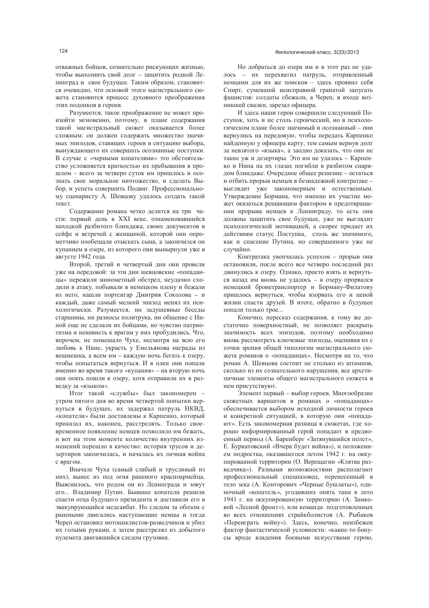отважных бойцов, сознательно рискующих жизнью, чтобы выполнить свой долг - защитить родной Ленинград и свое будущее. Таким образом, становится очевидно, что основой этого магистрального сюжета становится процесс духовного преображения этих подонков в героев.

Разумеется, такое преображение не может произойти мгновенно, поэтому, в плане содержания такой магистральный сюжет оказывается более сложным: он должен содержать множество значимых эпизодов, ставящих героев в ситуацию выбора, вынуждающего их совершать осознанные поступки. В случае с «черными копателями» это обстоятельство усложняется краткостью их пребывания в прошлом - всего за четверо суток им пришлось и осознать свое моральное ничтожество, и сделать Выбор, и успеть совершить Подвиг. Профессиональному сценаристу А. Шевцову удалось создать такой текст

Содержание романа четко делится на три части: первый день в XXI веке, ознаменовавшийся находкой разбитого блиндажа, своих документов в сейфе и встречей с женщиной, которой они опрометчиво пообещали отыскать сына, а закончился он купанием в озере, из которого они вынырнули уже в августе 1942 года.

Второй, третий и четвертый дни они провели уже на передовой: за эти дни шевновские «попаданцы» пережили минометный обстрел, неудачно сходили в атаку, побывали в немецком плену и бежали из него, нашли портсигар Дмитрия Соколова - и кажлый, лаже самый мелкий эпизол менял их психологически. Разумеется, ни задушевные беседы старшины, ни разносы политрука, ни общение с Ниной еще не сделали их бойцами, но чувство патриотизма и ненависть к врагам у них пробудились. Что, впрочем, не помешало Чухе, несмотря на всю его любовь к Нине, украсть у Емельянова награды из вещмешка, а всем им - каждую ночь бегать к озеру, чтобы попытаться вернуться. И в плен они попали именно во время такого «купания» - на вторую ночь они опять пошли к озеру, хотя отправили их в разведку за «языком».

Итог такой «службы» был закономерен утром пятого дня во время четвертой попытки вернуться в будущее, их задержал патруль НКВД, «копатели» были доставлены к Карпенко, который приказал их, наконец, расстрелять. Только своевременное появление немцев позволило им бежать, и вот на этом моменте количество внутренних изменений перешло в качество: история трусов и дезертиров закончилась, и началась их личная война с врагом.

Вначале Чуха (самый слабый и трусливый из них), вынес из под огня раненого красноармейца. Выяснилось, что родом он из Ленинграда и зовут его... Владимир Путин. Бывшие копатели решили спасти отца будущего президента и доставили его в эвакуирующийся медсанбат. Но следом за обозом с ранеными двигались наступающие немцы и тогда Череп остановил мотоциклистов-разведчиков и убил их голыми руками, а затем расстрелял из добытого пулемета двигавшийся следом грузовик.

Но добраться до озера им и в этот раз не удалось - их перехватил патруль, отправленный немцами для их же поисков - здесь проявил себя Спирт, сумевший неисправной гранатой запугать фашистов: солдаты сбежали, а Череп, в входе возникшей свалки, зарезал офицера.

И здесь наши герои совершили следующий Поступок, хоть и не столь героический, но в психологическом плане более значимый и осознанный - они вернулись на передовую, чтобы передать Карпенко найденную у офицера карту, тем самым вернув долг за невзятого «языка», а заодно доказать, что они не такие уж и дезертиры. Это им не удалось - Карпенко и Нина на их глазах погибли в разбитом снарядом блиндаже. Очередное общее решение - остаться и отбить прорыв немцев в безнадежной контратаке выглядит уже закономерным и естественным. Утверждение Бормана, что именно их участие может оказаться решающим фактором в предотвращении прорыва немцев к Ленинграду, то есть они должны защитить свое будущее, уже не выглядит психологической мотивацией, а скорее придает их действиям статус Поступка, столь же значимого, как и спасение Путина, но совершенного уже не случайно.

Контратака увенчалась успехом - прорыв они остановили, после всего все четверо последний раз двинулись к озеру. Однако, просто взять и вернуться назад им вновь не удалось - к озеру прорвался немецкий бронетранспортер и Борману-Филатову пришлось вернуться, чтобы взорвать его и ценой жизни спасти друзей. В итоге, обратно в будущее попали только трое...

Конечно, пересказ содержания, к тому же достаточно поверхностный, не позволяет раскрыть значимость всех эпизодов, поэтому необходимо вновь рассмотреть ключевые эпизоды, оценивая их с точки зрения общей типологии магистрального сюжета романов о «попаданцах». Несмотря на то, что роман А. Шевцова состоит не столько из штампов, сколько из их сознательного нарушения, все архетипичные элементы общего магистрального сюжета в нем присутствуют.

Элемент первый - выбор героев. Многообразие сюжетных вариантов в романах о «попаданцах» обеспечивается выбором исходной личности героев и конкретной ситуацией, в которую они «попадают». Есть закономерная разница в сюжетах, где хорошо информированный герой попадает в предвоенный период (А. Баренберг «Затянувшийся полет», Е. Буркатовский «Вчера будет война»), и положением подростка, оказавшегося летом 1942 г. на оккупированной территории (О. Верещагин «Клятва разведчика»). Разными возможностями располагают профессиональный спецназовец, перенесенный в тело зека (А. Конторович «Черные бушлаты»), одиночный «копатель», угодивших опять таки в лето 1941 г. на оккупированную территорию (А. Замковой «Лесной фронт»), или команда подготовленных во всех отношениях страйкболистов (А. Рыбаков «Переиграть войну»). Здесь, конечно, неизбежен фактор фантастической условности: «какие-то бонусы вроде владения боевыми искусствами герою,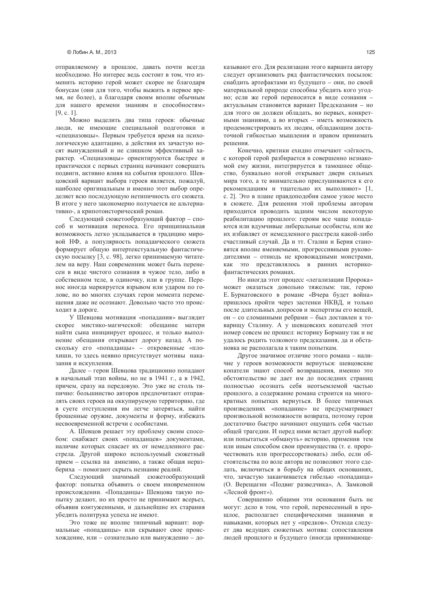отправляемому в прошлое, давать почти всегда необходимо. Но интерес ведь состоит в том, что изменить историю герой может скорее не благодаря бонусам (они для того, чтобы выжить в первое время, не более), а благодаря своим вполне обычным для нашего времени знаниям и способностям»  $[9, c. 1].$ 

Можно выделить два типа героев: обычные люди, не имеющие специальной подготовки и «спецназовцы». Первым требуется время на психологическую адаптацию, а действия их зачастую носят вынужденный и не слишком эффективный характер. «Спецназовцы» ориентируются быстрее и практически с первых страниц начинают совершать подвиги, активно влияя на события прошлого. Шевцовский вариант выбора героев является, пожалуй, наиболее оригинальным и именно этот выбор определяет всю последующую нетипичность его сюжета. В итоге у него закономерно получается не альтернативно-, а крипотоисторический роман.

Следующий сюжетообразующий фактор - способ и мотивация переноса. Его принципиальная возможность легко укладывается в традицию мировой НФ, а популярность попаданческого сюжета формирует общую интертекстуальную фантастическую посылку [3, с. 98], легко принимаемую читателем на веру. Наш современник может быть перенесен в виде чистого сознания в чужое тело, либо в собственном теле, в одиночку, или в группе. Перенос иногда маркируется взрывом или ударом по голове, но во многих случаях герои момента перемещения даже не осознают. Довольно часто это происходит в дороге.

У Шевцова мотивация «попадания» выглядит скорее мистико-магической: обещание матери найти сына инициирует процесс, и только выполнение обещания открывает дорогу назад. А поскольку его «попаданцы» - откровенные «плохиши, то здесь неявно присутствует мотивы наказания и искупления.

Далее - герои Шевцова традиционно попадают в начальный этап войны, но не в 1941 г., а в 1942, причем, сразу на передовую. Это уже не столь типично: большинство авторов предпочитают отправлять своих героев на оккупируемую территорию, где в суете отступления им легче затеряться, найти брошенные оружие, документы и форму, избежать несвоевременной встречи с особистами.

А. Шевцов решает эту проблему своим способом: снабжает своих «попаданцев» документами, наличие которых спасает их от немедленного расстрела. Другой широко используемый сюжетный прием - ссылка на амнезию, а также общая неразбериха - помогают скрыть незнание реалий.

Следующий значимый сюжетообразующий фактор: попытка объявить о своем иновременном происхождении. «Попаданцы» Шевцова такую попытку делают, но их просто не принимают всерьез, объявив контуженными, и дальнейшие их старания убедить политрука успеха не имеют.

Это тоже не вполне типичный вариант: нормальные «попаданцы» или скрывают свое происхождение, или - сознательно или вынужденно - доказывают его. Для реализации этого варианта автору следует организовать ряд фантастических посылок: снабдить артефактами из будущего - они, по своей материальной природе способны убедить кого угодно; если же герой переносится в виде сознания актуальным становится вариант Предсказания - но для этого он должен обладать, во первых, конкретными знаниями, а во вторых - иметь возможность продемонстрировать их людям, обладающим достаточной гибкостью мышления и правом принимать решения.

Конечно, критики ехидно отмечают «лёгкость, с которой герой разбирается в совершенно незнакомой ему жизни, интегрируется в тамошнее общество, буквально ногой открывает двери сильных мира того, а те внимательно прислушиваются к его рекомендациям и тщательно их выполняют» [1, с. 2]. Это в плане правдоподобия самое узкое место в сюжете. Для решения этой проблемы авторам приходится проводить задним числом некоторую реабилитацию прошлого: героям все чаще попадаются или вдумчивые либеральные особисты, или же их избавляет от немедленного расстрела какой-либо счастливый случай. Да и тт. Сталин и Берия становятся вполне вменяемыми, прогрессивными руководителями - отнюдь не кровожадными монстрами, как это представлялось в ранних историкофантастических романах.

Но иногда этот процесс «легализации Пророка» может оказаться довольно тяжелым: так, герою Е. Буркатовского в романе «Вчера будет война» пришлось пройти через застенки НКВД, и только после длительных допросов и экспертизы его вещей, он - со сломанными ребрами - был доставлен к товарищу Сталину. А у шевцовских копателей этот номер совсем не прошел: историку Борману так и не удалось родить толкового предсказания, да и обстановка не располагала к таким попыткам.

Другое значимое отличие этого романа - наличие у героев возможности вернуться: шевцовские копатели знают способ возвращения, именно это обстоятельство не дает им до последних страниц полностью осознать себя неотъемлемой частью прошлого, а содержание романа строится на многократных попытках вернуться. В более типичных произведениях «попадание» не предусматривает произвольной возможности возврата, поэтому герои достаточно быстро начинают ощущать себя частью общей трагедии. И перед ними встает другой выбор: или попытаться «обмануть» историю, применив тем или иным способом свои преимущества (т. е. пророчествовать или прогрессорствовать) либо, если обстоятельства по воле автора не позволяют этого сделать, включиться в борьбу на общих основаниях, что, зачастую заканчивается гибелью «попаданца» (О. Верещагин «Подвиг разведчика», А. Замковой «Лесной фронт»).

Совершенно общими эти основания быть не могут: дело в том, что герой, перенесенный в прошлое, располагает специфическими знаниями и навыками, которых нет у «предков». Отсюда следует два ведущих сюжетных мотива: сопоставления людей прошлого и будущего (иногда принимающе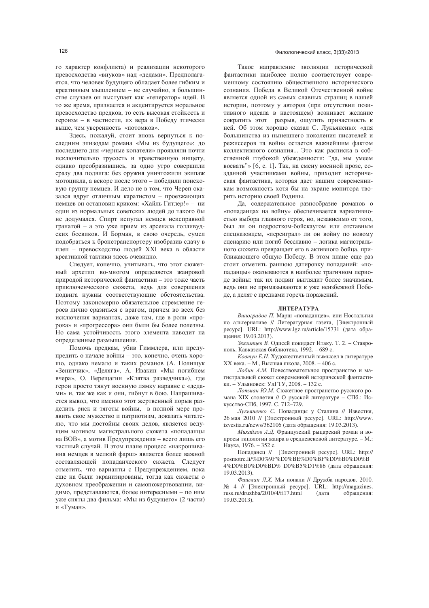го характер конфликта) и реализации некоторого превосходства «внуков» над «дедами». Предполагается, что человек будущего обладает более гибким и креативным мышлением - не случайно, в большинстве случаев он выступает как «генератор» идей. В то же время, признается и акцентируется моральное превосходство предков, то есть высокая стойкость и героизм - в частности, их вера в Победу этически выше, чем уверенность «потомков».

Здесь, пожалуй, стоит вновь вернуться к последним эпизодам романа «Мы из будущего»: до последнего дня «черные копатели» проявляли почти исключительно трусость и нравственную нищету, однако преобразившись, за одно утро совершили сразу два подвига: без оружия уничтожили экипаж мотоцикла, а вскоре после этого - победили поисковую группу немцев. И дело не в том, что Череп оказался вдруг отличным каратистом - проезжающих немцев он остановил криком: «Хайль Гитлер!» - ни один из нормальных советских людей до такого бы не додумался. Спирт испугал немцев неисправной гранатой - а это уже прием из арсенала голливудских боевиков. И Борман, в свою очерель, сумел подобраться к бронетранспортеру изобразив сдачу в плен - превосходство людей XXI века в области креативной тактики здесь очевидно.

Следует, конечно, учитывать, что этот сюжетный архетип во-многом определяется жанровой природой исторической фантастики - это тоже часть приключенческого сюжета, ведь для совершения подвига нужны соответствующие обстоятельства. Поэтому закономерно обязательное стремление героев лично сразиться с врагом, причем во всех без исключения вариантах, даже там, где в роли «пророка» и «прогрессора» они были бы более полезны. Но сама устойчивость этого элемента наводит на определенные размышления.

Помочь предкам, убив Гиммлера, или предупредить о начале войны - это, конечно, очень хорошо, однако немало и таких романов (А. Полищук «Зенитчик», «Деляга», А. Ивакин «Мы погибнем вчера», О. Верещагин «Клятва разведчика»), где герои просто тянут военную лямку наравне с «дедами» и, так же как и они, гибнут в бою. Напрашивается вывод, что именно этот жертвенный порыв разделить риск и тяготы войны, в полной мере проявить свое мужество и патриотизм, доказать читателю, что мы достойны своих дедов, является ведущим мотивом магистрального сюжета «попаданцы на ВОВ», а мотив Предупреждения - всего лишь его частный случай. В этом плане процесс «накрошивания немцев в мелкий фарш» является более важной составляющей попаданческого сюжета. Следует отметить, что варианты с Предупреждением, пока еще на были экранизированы, тогда как сюжеты о духовном преображении и самопожертвовании, видимо, представляются, более интересными - по ним уже сняты два фильма: «Мы из будущего» (2 части) и «Туман».

#### Филологический класс, 3(33)/2013

Такое направление эволюции исторической фантастики наиболее полно соответствует современному состоянию общественного исторического сознания. Победа в Великой Отечественной войне является одной из самых славных страниц в нашей истории, поэтому у авторов (при отсутствии позитивного идеала в настоящем) возникает желание сократить этот разрыв, ощутить причастность к ней. Об этом хорошо сказал С. Лукьяненко: «для большинства из нынешнего поколения писателей и режиссеров та война остается важнейшим фактом коллективного сознания... Это как расписка в собственной глубокой убежденности: "да, мы умеем воевать"» [6, с. 1]. Так, на смену военной прозе, созданной участниками войны, приходит историческая фантастика, которая дает нашим современникам возможность хотя бы на экране монитора творить историю своей Родины.

Да, содержательное разнообразие романов о «попаданцах на войну» обеспечивается вариативностью выбора главного героя, но, независимо от того, был ли он подростком-бойскаутом или отставным спецназовцем, «переиграл» ли он войну по новому сценарию или погиб бесславно - логика магистрального сюжета превращает его в активного бойца, приближающего общую Победу. В этом плане еще раз стоит отметить раннюю датировку попаданий: «попаланцы» оказываются в наиболее трагичном периоде войны: так их подвиг выглядит более значимым, ведь они не примазываются к уже неизбежной Победе, а делят с предками горечь поражений.

#### ЛИТЕРАТУРА

Виноградов П. Марш «попаданцев», или Ностальгия по альтернативе // Литературная газета. [Электронный ресурс]. URL: http://www.lgz.ru/article/15731 (дата обрашения: 19.03.2013).

Звягиниев В. Одисей покидает Итаку. Т. 2. - Ставрополь, Кавказская библиотека, 1992. - 689 с.

Ковтун Е.Н. Художественный вымысел в литературе XX века. - М., Высшая школа, 2008. - 406 с.

Лобин А.М. Повествовательное пространство и магистральный сюжет современной исторической фантастики. - Ульяновск: УлГТУ, 2008. - 132 с.

Лотман Ю.М. Сюжетное пространство русского романа XIX столетия // О русской литературе - СПб.: Искусство-СПб, 1997. С. 712-729.

Лукьяненко С. Попаданцы у Сталина // Известия, 26 мая 2010 // [Электронный ресурс]. URL: http://www. izvestia.ru/news/362106 (дата обращения: 19.03.2013).

Михайлов А.Д. Французский рыцарский роман и вопросы типологии жанра в средневековой литературе. - М.: Наука, 1976. - 352 с.

Попаданец // [Электронный ресурс]. URL: http:// posmotre.li/%D0%9F%D0%BE%D0%BF%D0%B0%D0%B 4%D0%B0%D0%BD% D0%B5%D1%86 (дата обращения:  $19.03.2013$ 

Фишман Л.Х. Мы попали // Дружба народов. 2010. № 4 // [Электронный ресурс]. URL: http://magazines. russ.ru/druzhba/2010/4/fi17.html (дата обращения: 19.03.2013).